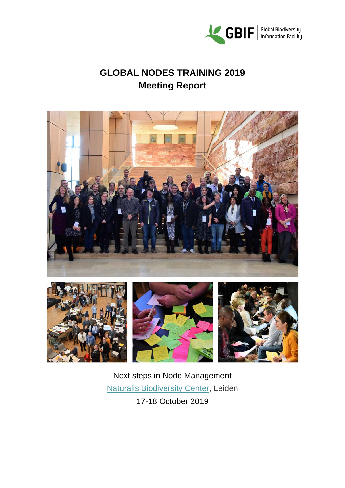

**GLOBAL NODES TRAINING 2019 Meeting Report**









Next steps in Node Management [Naturalis Biodiversity Center,](https://www.naturalis.nl/) Leiden 17-18 October 2019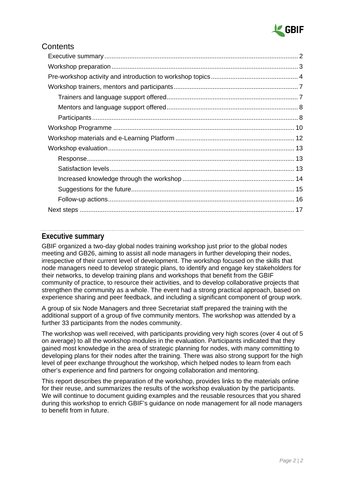

## **Contents**

## <span id="page-1-0"></span>**Executive summary**

GBIF organized a two-day global nodes training workshop just prior to the global nodes meeting and GB26, aiming to assist all node managers in further developing their nodes, irrespective of their current level of development. The workshop focused on the skills that node managers need to develop strategic plans, to identify and engage key stakeholders for their networks, to develop training plans and workshops that benefit from the GBIF community of practice, to resource their activities, and to develop collaborative projects that strengthen the community as a whole. The event had a strong practical approach, based on experience sharing and peer feedback, and including a significant component of group work.

A group of six Node Managers and three Secretariat staff prepared the training with the additional support of a group of five community mentors. The workshop was attended by a further 33 participants from the nodes community.

The workshop was well received, with participants providing very high scores (over 4 out of 5 on average) to all the workshop modules in the evaluation. Participants indicated that they gained most knowledge in the area of strategic planning for nodes, with many committing to developing plans for their nodes after the training. There was also strong support for the high level of peer exchange throughout the workshop, which helped nodes to learn from each other's experience and find partners for ongoing collaboration and mentoring.

This report describes the preparation of the workshop, provides links to the materials online for their reuse, and summarizes the results of the workshop evaluation by the participants. We will continue to document guiding examples and the reusable resources that you shared during this workshop to enrich GBIF's guidance on node management for all node managers to benefit from in future.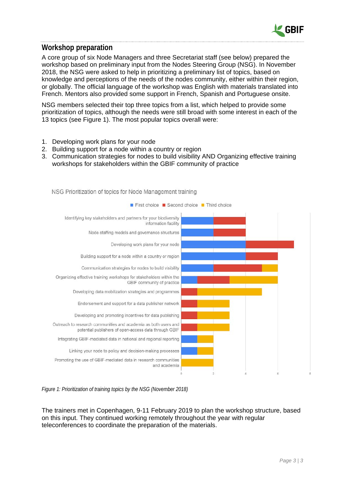

## <span id="page-2-0"></span>**Workshop preparation**

A core group of six Node Managers and three Secretariat staff (see below) prepared the workshop based on preliminary input from the Nodes Steering Group (NSG). In November 2018, the NSG were asked to help in prioritizing a preliminary list of topics, based on knowledge and perceptions of the needs of the nodes community, either within their region, or globally. The official language of the workshop was English with materials translated into French. Mentors also provided some support in French, Spanish and Portuguese onsite.

NSG members selected their top three topics from a list, which helped to provide some prioritization of topics, although the needs were still broad with some interest in each of the 13 topics (see Figure 1). The most popular topics overall were:

- 1. Developing work plans for your node
- 2. Building support for a node within a country or region
- 3. Communication strategies for nodes to build visibility AND Organizing effective training workshops for stakeholders within the GBIF community of practice



NSG Prioritization of topics for Node Management training

*Figure 1: Prioritization of training topics by the NSG (November 2018)*

The trainers met in Copenhagen, 9-11 February 2019 to plan the workshop structure, based on this input. They continued working remotely throughout the year with regular teleconferences to coordinate the preparation of the materials.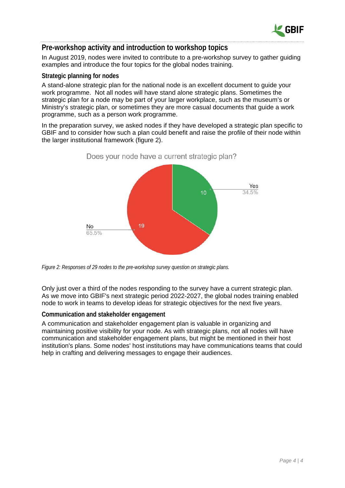

## <span id="page-3-0"></span>**Pre-workshop activity and introduction to workshop topics**

In August 2019, nodes were invited to contribute to a pre-workshop survey to gather guiding examples and introduce the four topics for the global nodes training.

## **Strategic planning for nodes**

A stand-alone strategic plan for the national node is an excellent document to guide your work programme. Not all nodes will have stand alone strategic plans. Sometimes the strategic plan for a node may be part of your larger workplace, such as the museum's or Ministry's strategic plan, or sometimes they are more casual documents that guide a work programme, such as a person work programme.

In the preparation survey, we asked nodes if they have developed a strategic plan specific to GBIF and to consider how such a plan could benefit and raise the profile of their node within the larger institutional framework (figure 2).



*Figure 2: Responses of 29 nodes to the pre-workshop survey question on strategic plans.*

Only just over a third of the nodes responding to the survey have a current strategic plan. As we move into GBIF's next strategic period 2022-2027, the global nodes training enabled node to work in teams to develop ideas for strategic objectives for the next five years.

#### **Communication and stakeholder engagement**

A communication and stakeholder engagement plan is valuable in organizing and maintaining positive visibility for your node. As with strategic plans, not all nodes will have communication and stakeholder engagement plans, but might be mentioned in their host institution's plans. Some nodes' host institutions may have communications teams that could help in crafting and delivering messages to engage their audiences.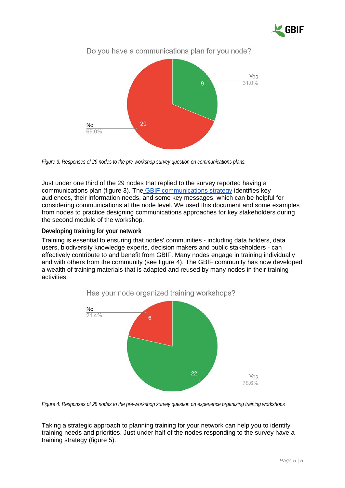



*Figure 3: Responses of 29 nodes to the pre-workshop survey question on communications plans.*

Just under one third of the 29 nodes that replied to the survey reported having a communications plan (figure 3). The [GBIF communications strategy](https://www.gbif.org/document/80926/gbif-communications-strategy) identifies key audiences, their information needs, and some key messages, which can be helpful for considering communications at the node level. We used this document and some examples from nodes to practice designing communications approaches for key stakeholders during the second module of the workshop.

**Developing training for your network**

Training is essential to ensuring that nodes' communities - including data holders, data users, biodiversity knowledge experts, decision makers and public stakeholders - can effectively contribute to and benefit from GBIF. Many nodes engage in training individually and with others from the community (see figure 4). The GBIF community has now developed a wealth of training materials that is adapted and reused by many nodes in their training activities.





Taking a strategic approach to planning training for your network can help you to identify training needs and priorities. Just under half of the nodes responding to the survey have a training strategy (figure 5).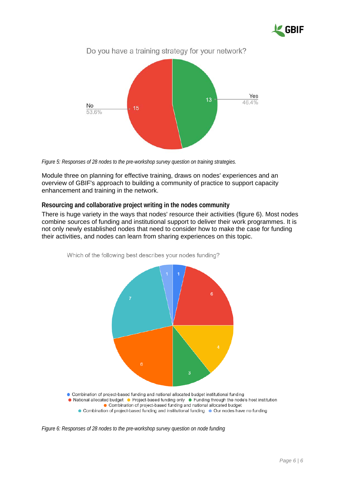



*Figure 5: Responses of 28 nodes to the pre-workshop survey question on training strategies.*

Module three on planning for effective training, draws on nodes' experiences and an overview of GBIF's approach to building a community of practice to support capacity enhancement and training in the network.

#### **Resourcing and collaborative project writing in the nodes community**

There is huge variety in the ways that nodes' resource their activities (figure 6). Most nodes combine sources of funding and institutional support to deliver their work programmes. It is not only newly established nodes that need to consider how to make the case for funding their activities, and nodes can learn from sharing experiences on this topic.



Which of the following best describes your nodes funding?

- Combination of project-based funding and national allocated budget
	- Combination of project-based funding and institutional funding Our nodes have no funding

*Figure 6: Responses of 28 nodes to the pre-workshop survey question on node funding*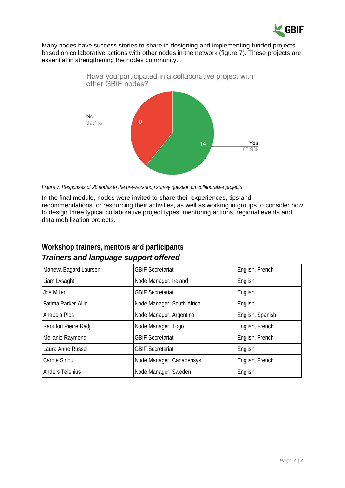

Many nodes have success stories to share in designing and implementing funded projects based on collaborative actions with other nodes in the network (figure 7). These projects are essential in strengthening the nodes community.



*Figure 7: Responses of 28 nodes to the pre-workshop survey question on collaborative projects*

In the final module, nodes were invited to share their experiences, tips and recommendations for resourcing their activities, as well as working in groups to consider how to design three typical collaborative project types: mentoring actions, regional events and data mobilization projects.

<span id="page-6-1"></span>

| <b>Trainers and language support offered</b> |                            |                  |  |
|----------------------------------------------|----------------------------|------------------|--|
| Maheva Bagard Laursen                        | <b>GBIF Secretariat</b>    | English, French  |  |
| Liam Lysaght                                 | Node Manager, Ireland      | English          |  |
| Joe Miller                                   | <b>GBIF Secretariat</b>    | English          |  |
| Fatima Parker-Allie                          | Node Manager, South Africa | English          |  |
| Anabela Plos                                 | Node Manager, Argentina    | English, Spanish |  |
| Raoufou Pierre Radji                         | Node Manager, Togo         | English, French  |  |
| Mélianie Raymond                             | <b>GBIF Secretariat</b>    | English, French  |  |
| Laura Anne Russell                           | <b>GBIF Secretariat</b>    | English          |  |
| Carole Sinou                                 | Node Manager, Canadensys   | English, French  |  |
| <b>Anders Telenius</b>                       | Node Manager, Sweden       | English          |  |

# <span id="page-6-0"></span>**Workshop trainers, mentors and participants**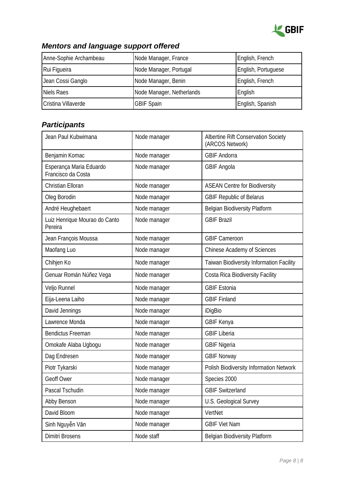

# <span id="page-7-0"></span>*Mentors and language support offered*

| Anne-Sophie Archambeau | Node Manager, France      | English, French     |
|------------------------|---------------------------|---------------------|
| Rui Figueira           | Node Manager, Portugal    | English, Portuguese |
| Jean Cossi Ganglo      | Node Manager, Benin       | English, French     |
| Niels Raes             | Node Manager, Netherlands | English             |
| Cristina Villaverde    | <b>GBIF Spain</b>         | English, Spanish    |

# <span id="page-7-1"></span>*Participants*

| Jean Paul Kubwimana                           | Node manager | Albertine Rift Conservation Society<br>(ARCOS Network) |
|-----------------------------------------------|--------------|--------------------------------------------------------|
| Benjamin Komac                                | Node manager | <b>GBIF Andorra</b>                                    |
| Esperança Maria Eduardo<br>Francisco da Costa | Node manager | <b>GBIF Angola</b>                                     |
| Christian Elloran                             | Node manager | <b>ASEAN Centre for Biodiversity</b>                   |
| Oleg Borodin                                  | Node manager | <b>GBIF Republic of Belarus</b>                        |
| André Heughebaert                             | Node manager | Belgian Biodiversity Platform                          |
| Luiz Henrique Mourao do Canto<br>Pereira      | Node manager | <b>GBIF Brazil</b>                                     |
| Jean François Moussa                          | Node manager | <b>GBIF Cameroon</b>                                   |
| Maofang Luo                                   | Node manager | Chinese Academy of Sciences                            |
| Chihjen Ko                                    | Node manager | Taiwan Biodiversity Information Facility               |
| Genuar Román Núñez Vega                       | Node manager | Costa Rica Biodiversity Facility                       |
| Veljo Runnel                                  | Node manager | <b>GBIF Estonia</b>                                    |
| Eija-Leena Laiho                              | Node manager | <b>GBIF Finland</b>                                    |
| David Jennings                                | Node manager | iDigBio                                                |
| Lawrence Monda                                | Node manager | <b>GBIF Kenya</b>                                      |
| <b>Bendictus Freeman</b>                      | Node manager | <b>GBIF Liberia</b>                                    |
| Omokafe Alaba Ugbogu                          | Node manager | <b>GBIF Nigeria</b>                                    |
| Dag Endresen                                  | Node manager | <b>GBIF Norway</b>                                     |
| Piotr Tykarski                                | Node manager | Polish Biodiversity Information Network                |
| Geoff Ower                                    | Node manager | Species 2000                                           |
| Pascal Tschudin                               | Node manager | <b>GBIF Switzerland</b>                                |
| Abby Benson                                   | Node manager | U.S. Geological Survey                                 |
| David Bloom                                   | Node manager | VertNet                                                |
| Sinh Nguyễn Văn                               | Node manager | <b>GBIF Viet Nam</b>                                   |
| Dimitri Brosens                               | Node staff   | <b>Belgian Biodiversity Platform</b>                   |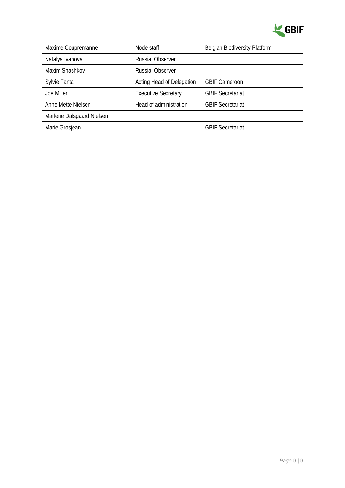

| Maxime Coupremanne        | Node staff                 | <b>Belgian Biodiversity Platform</b> |
|---------------------------|----------------------------|--------------------------------------|
| Natalya Ivanova           | Russia, Observer           |                                      |
| Maxim Shashkov            | Russia, Observer           |                                      |
| Sylvie Fanta              | Acting Head of Delegation  | <b>GBIF Cameroon</b>                 |
| Joe Miller                | <b>Executive Secretary</b> | <b>GBIF Secretariat</b>              |
| Anne Mette Nielsen        | Head of administration     | <b>GBIF Secretariat</b>              |
| Marlene Dalsgaard Nielsen |                            |                                      |
| Marie Grosjean            |                            | <b>GBIF Secretariat</b>              |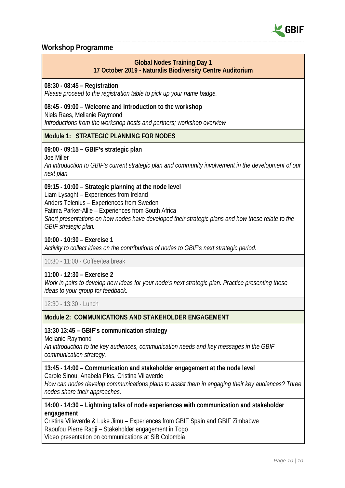

## <span id="page-9-0"></span>**Workshop Programme**

## **Global Nodes Training Day 1 17 October 2019 - Naturalis Biodiversity Centre Auditorium**

## **08:30 - 08:45 – Registration**

*Please proceed to the registration table to pick up your name badge.*

## **08:45 - 09:00 – Welcome and introduction to the workshop**

Niels Raes, Melianie Raymond

*Introductions from the workshop hosts and partners; workshop overview*

## **Module 1: STRATEGIC PLANNING FOR NODES**

## **09:00 - 09:15 – GBIF's strategic plan**

Joe Miller

*An introduction to GBIF's current strategic plan and community involvement in the development of our next plan.*

## **09:15 - 10:00 – Strategic planning at the node level**

Liam Lysaght – Experiences from Ireland

Anders Telenius – Experiences from Sweden

Fatima Parker-Allie – Experiences from South Africa

*Short presentations on how nodes have developed their strategic plans and how these relate to the GBIF strategic plan.*

## **10:00 - 10:30 – Exercise 1**

*Activity to collect ideas on the contributions of nodes to GBIF's next strategic period.*

10:30 - 11:00 - Coffee/tea break

#### **11:00 - 12:30 – Exercise 2**

*Work in pairs to develop new ideas for your node's next strategic plan. Practice presenting these ideas to your group for feedback.*

12:30 - 13:30 - Lunch

## **Module 2: COMMUNICATIONS AND STAKEHOLDER ENGAGEMENT**

#### **13:30 13:45 – GBIF's communication strategy**

Melianie Raymond

*An introduction to the key audiences, communication needs and key messages in the GBIF communication strategy.*

#### **13:45 - 14:00 – Communication and stakeholder engagement at the node level**

Carole Sinou, Anabela Plos, Cristina Villaverde

*How can nodes develop communications plans to assist them in engaging their key audiences? Three nodes share their approaches.*

## **14:00 - 14:30 – Lightning talks of node experiences with communication and stakeholder engagement**

Cristina Villaverde & Luke Jimu *–* Experiences from GBIF Spain and GBIF Zimbabwe Raoufou Pierre Radji – Stakeholder engagement in Togo Video presentation on communications at SiB Colombia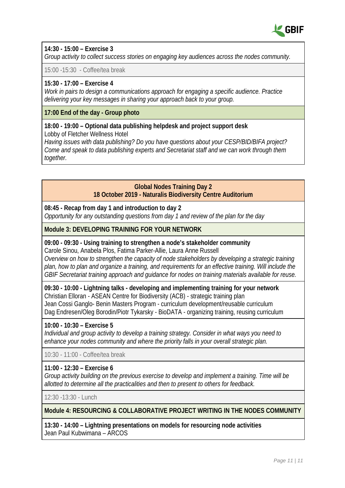

## **14:30 - 15:00 – Exercise 3**

*Group activity to collect success stories on engaging key audiences across the nodes community.*

15:00 -15:30 - Coffee/tea break

## **15:30 - 17:00 – Exercise 4**

*Work in pairs to design a communications approach for engaging a specific audience. Practice delivering your key messages in sharing your approach back to your group.*

**17:00 End of the day - Group photo**

#### **18:00 - 19:00 – Optional data publishing helpdesk and project support desk** Lobby of Fletcher Wellness Hotel

*Having issues with data publishing? Do you have questions about your CESP/BID/BIFA project? Come and speak to data publishing experts and Secretariat staff and we can work through them together.* 

## **Global Nodes Training Day 2 18 October 2019 - Naturalis Biodiversity Centre Auditorium**

**08:45 - Recap from day 1 and introduction to day 2**

*Opportunity for any outstanding questions from day 1 and review of the plan for the day*

## **Module 3: DEVELOPING TRAINING FOR YOUR NETWORK**

## **09:00 - 09:30 - Using training to strengthen a node's stakeholder community** Carole Sinou, Anabela Plos, Fatima Parker-Allie, Laura Anne Russell

*Overview on how to strengthen the capacity of node stakeholders by developing a strategic training plan, how to plan and organize a training, and requirements for an effective training. Will include the GBIF Secretariat training approach and guidance for nodes on training materials available for reuse.*

**09:30 - 10:00 - Lightning talks - developing and implementing training for your network** Christian Elloran *-* ASEAN Centre for Biodiversity (ACB) - strategic training plan Jean Cossi Ganglo- Benin Masters Program - curriculum development/reusable curriculum Dag Endresen/Oleg Borodin/Piotr Tykarsky - BioDATA - organizing training, reusing curriculum

## **10:00 - 10:30 – Exercise 5**

*Individual and group activity to develop a training strategy. Consider in what ways you need to enhance your nodes community and where the priority falls in your overall strategic plan.*

10:30 - 11:00 - Coffee/tea break

## **11:00 - 12:30 – Exercise 6**

*Group activity building on the previous exercise to develop and implement a training. Time will be allotted to determine all the practicalities and then to present to others for feedback.*

12:30 -13:30 - Lunch

**Module 4: RESOURCING & COLLABORATIVE PROJECT WRITING IN THE NODES COMMUNITY**

**13:30 - 14:00 – Lightning presentations on models for resourcing node activities** Jean Paul Kubwimana – ARCOS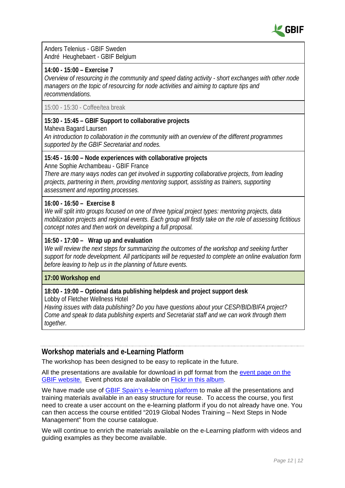

Anders Telenius - GBIF Sweden André Heughebaert - GBIF Belgium

#### **14:00 - 15:00 – Exercise 7**

*Overview of resourcing in the community and speed dating activity - short exchanges with other node managers on the topic of resourcing for node activities and aiming to capture tips and recommendations.*

15:00 - 15:30 - Coffee/tea break

## **15:30 - 15:45 – GBIF Support to collaborative projects**

Maheva Bagard Laursen

*An introduction to collaboration in the community with an overview of the different programmes supported by the GBIF Secretariat and nodes.*

#### **15:45 - 16:00 – Node experiences with collaborative projects**

Anne Sophie Archambeau - GBIF France

*There are many ways nodes can get involved in supporting collaborative projects, from leading projects, partnering in them, providing mentoring support, assisting as trainers, supporting assessment and reporting processes.*

#### **16:00 - 16:50 – Exercise 8**

*We will split into groups focused on one of three typical project types: mentoring projects, data mobilization projects and regional events. Each group will firstly take on the role of assessing fictitious concept notes and then work on developing a full proposal.*

## **16:50 - 17:00 – Wrap up and evaluation**

*We will review the next steps for summarizing the outcomes of the workshop and seeking further support for node development. All participants will be requested to complete an online evaluation form before leaving to help us in the planning of future events.*

#### **17:00 Workshop end**

## **18:00 - 19:00 – Optional data publishing helpdesk and project support desk**

Lobby of Fletcher Wellness Hotel

*Having issues with data publishing? Do you have questions about your CESP/BID/BIFA project? Come and speak to data publishing experts and Secretariat staff and we can work through them together.*

## <span id="page-11-0"></span>**Workshop materials and e-Learning Platform**

The workshop has been designed to be easy to replicate in the future.

All the presentations are available for download in pdf format from the [event page on the](https://www.gbif.org/event/3gMS4dfyGfdD4vNXFZdRIX/global-nodes-training-2019)  [GBIF website.](https://www.gbif.org/event/3gMS4dfyGfdD4vNXFZdRIX/global-nodes-training-2019) Event photos are available on [Flickr in this album.](https://www.flickr.com/photos/44353813@N02/sets/72157711387964286/)

We have made use of [GBIF Spain's e-learning platform](http://elearning.gbif.es/index.php) to make all the presentations and training materials available in an easy structure for reuse. To access the course, you first need to create a user account on the e-learning platform if you do not already have one. You can then access the course entitled "2019 Global Nodes Training – Next Steps in Node Management" from the course catalogue.

We will continue to enrich the materials available on the e-Learning platform with videos and guiding examples as they become available.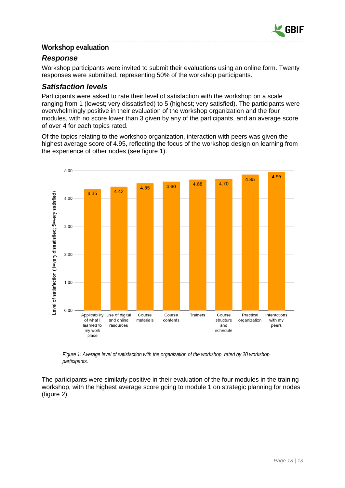

## <span id="page-12-0"></span>**Workshop evaluation**

## <span id="page-12-1"></span>*Response*

Workshop participants were invited to submit their evaluations using an online form. Twenty responses were submitted, representing 50% of the workshop participants.

## <span id="page-12-2"></span>*Satisfaction levels*

Participants were asked to rate their level of satisfaction with the workshop on a scale ranging from 1 (lowest; very dissatisfied) to 5 (highest; very satisfied). The participants were overwhelmingly positive in their evaluation of the workshop organization and the four modules, with no score lower than 3 given by any of the participants, and an average score of over 4 for each topics rated.

Of the topics relating to the workshop organization, interaction with peers was given the highest average score of 4.95, reflecting the focus of the workshop design on learning from the experience of other nodes (see figure 1).



*Figure 1: Average level of satisfaction with the organization of the workshop, rated by 20 workshop participants.*

The participants were similarly positive in their evaluation of the four modules in the training workshop, with the highest average score going to module 1 on strategic planning for nodes (figure 2).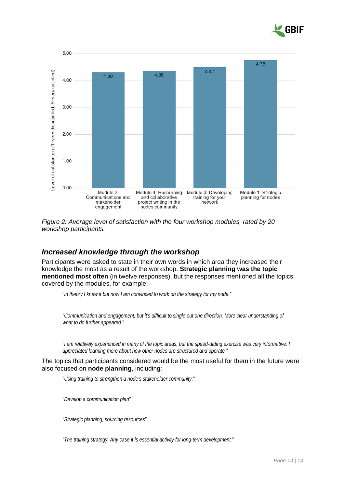



*Figure 2: Average level of satisfaction with the four workshop modules, rated by 20 workshop participants.*

## <span id="page-13-0"></span>*Increased knowledge through the workshop*

Participants were asked to state in their own words in which area they increased their knowledge the most as a result of the workshop. **Strategic planning was the topic mentioned most often** (in twelve responses), but the responses mentioned all the topics covered by the modules, for example:

*"In theory I knew it but now I am convinced to work on the strategy for my node."*

*"Communication and engagement, but it's difficult to single out one direction. More clear understanding of what to do further appeared."*

*"I am relatively experienced in many of the topic areas, but the speed-dating exercise was very informative. I appreciated learning more about how other nodes are structured and operate."*

The topics that participants considered would be the most useful for them in the future were also focused on **node planning**, including:

*"Using training to strengthen a node's stakeholder community."*

*"Develop a communication plan"*

*"Strategic planning, sourcing resources"*

*"The training strategy. Any case it is essential activity for long-term development."*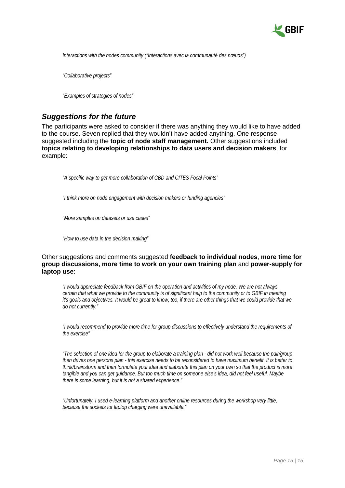

*Interactions with the nodes community ("Interactions avec la communauté des nœuds")*

*"Collaborative projects"*

*"Examples of strategies of nodes"*

## <span id="page-14-0"></span>*Suggestions for the future*

The participants were asked to consider if there was anything they would like to have added to the course. Seven replied that they wouldn't have added anything. One response suggested including the **topic of node staff management.** Other suggestions included **topics relating to developing relationships to data users and decision makers**, for example:

*"A specific way to get more collaboration of CBD and CITES Focal Points"*

*"I think more on node engagement with decision makers or funding agencies"*

*"More samples on datasets or use cases"*

*"How to use data in the decision making"*

#### Other suggestions and comments suggested **feedback to individual nodes**, **more time for group discussions, more time to work on your own training plan** and **power-supply for laptop use**:

*"I would appreciate feedback from GBIF on the operation and activities of my node. We are not always certain that what we provide to the community is of significant help to the community or to GBIF in meeting it's goals and objectives. It would be great to know, too, if there are other things that we could provide that we do not currently."*

*"I would recommend to provide more time for group discussions to effectively understand the requirements of the exercise"*

*"The selection of one idea for the group to elaborate a training plan - did not work well because the pair/group then drives one persons plan - this exercise needs to be reconsidered to have maximum benefit. It is better to think/brainstorm and then formulate your idea and elaborate this plan on your own so that the product is more tangible and you can get guidance. But too much time on someone else's idea, did not feel useful. Maybe there is some learning, but it is not a shared experience."*

*"Unfortunately, I used e-learning platform and another online resources during the workshop very little, because the sockets for laptop charging were unavailable."*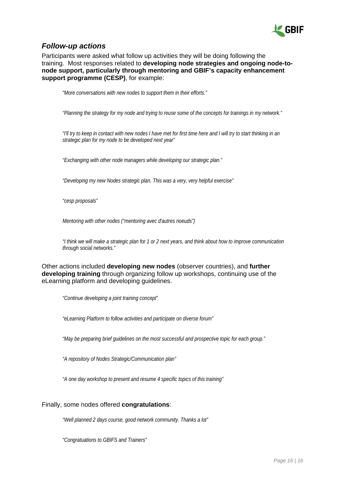

## <span id="page-15-0"></span>*Follow-up actions*

Participants were asked what follow up activities they will be doing following the training. Most responses related to **developing node strategies and ongoing node-tonode support, particularly through mentoring and GBIF's capacity enhancement support programme (CESP)**, for example:

*"More conversations with new nodes to support them in their efforts."*

*"Planning the strategy for my node and trying to reuse some of the concepts for trainings in my network."*

*"I'll try to keep in contact with new nodes I have met for first time here and I will try to start thinking in an strategic plan for my node to be developed next year"*

*"Exchanging with other node managers while developing our strategic plan."*

*"Developing my new Nodes strategic plan. This was a very, very helpful exercise"*

*"cesp proposals"*

*Mentoring with other nodes ("mentoring avec d'autres noeuds")*

*"I think we will make a strategic plan for 1 or 2 next years, and think about how to improve communication through social networks."*

Other actions included **developing new nodes** (observer countries), and **further developing training** through organizing follow up workshops, continuing use of the eLearning platform and developing guidelines.

*"Continue developing a joint training concept"*

*"eLearning Platform to follow activities and participate on diverse forum"*

*"May be preparing brief guidelines on the most successful and prospective topic for each group."*

*"A repository of Nodes Strategic/Communication plan"*

*"A one day workshop to present and resume 4 specific topics of this training"*

#### Finally, some nodes offered **congratulations**:

*"Well planned 2 days course, good network community. Thanks a lot"*

*"Congratuations to GBIFS and Trainers"*